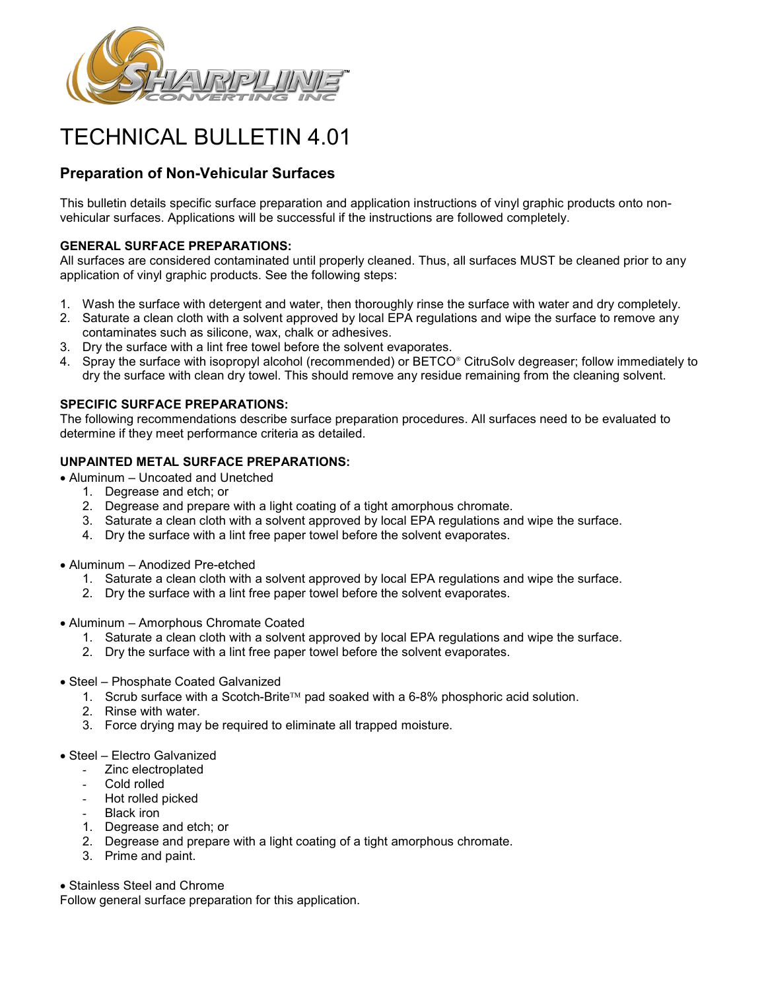

# TECHNICAL BULLETIN 4.01

# **Preparation of Non-Vehicular Surfaces**

This bulletin details specific surface preparation and application instructions of vinyl graphic products onto nonvehicular surfaces. Applications will be successful if the instructions are followed completely.

## **GENERAL SURFACE PREPARATIONS:**

All surfaces are considered contaminated until properly cleaned. Thus, all surfaces MUST be cleaned prior to any application of vinyl graphic products. See the following steps:

- 1. Wash the surface with detergent and water, then thoroughly rinse the surface with water and dry completely.
- 2. Saturate a clean cloth with a solvent approved by local EPA regulations and wipe the surface to remove any contaminates such as silicone, wax, chalk or adhesives.
- 3. Dry the surface with a lint free towel before the solvent evaporates.
- 4. Spray the surface with isopropyl alcohol (recommended) or BETCO<sup>®</sup> CitruSolv degreaser; follow immediately to dry the surface with clean dry towel. This should remove any residue remaining from the cleaning solvent.

## **SPECIFIC SURFACE PREPARATIONS:**

The following recommendations describe surface preparation procedures. All surfaces need to be evaluated to determine if they meet performance criteria as detailed.

# **UNPAINTED METAL SURFACE PREPARATIONS:**

- Aluminum Uncoated and Unetched
	- 1. Degrease and etch; or
	- 2. Degrease and prepare with a light coating of a tight amorphous chromate.
	- 3. Saturate a clean cloth with a solvent approved by local EPA regulations and wipe the surface.
	- 4. Dry the surface with a lint free paper towel before the solvent evaporates.
- Aluminum Anodized Pre-etched
	- 1. Saturate a clean cloth with a solvent approved by local EPA regulations and wipe the surface.
	- 2. Dry the surface with a lint free paper towel before the solvent evaporates.
- Aluminum Amorphous Chromate Coated
	- 1. Saturate a clean cloth with a solvent approved by local EPA regulations and wipe the surface.
	- 2. Dry the surface with a lint free paper towel before the solvent evaporates.
- Steel Phosphate Coated Galvanized
	- 1. Scrub surface with a Scotch-Brite<sup>TM</sup> pad soaked with a  $6-8%$  phosphoric acid solution.
	- 2. Rinse with water.
	- 3. Force drying may be required to eliminate all trapped moisture.
- Steel Electro Galvanized
	- Zinc electroplated
	- Cold rolled
	- Hot rolled picked
	- Black iron
	- 1. Degrease and etch; or
	- 2. Degrease and prepare with a light coating of a tight amorphous chromate.
	- 3. Prime and paint.
- Stainless Steel and Chrome

Follow general surface preparation for this application.